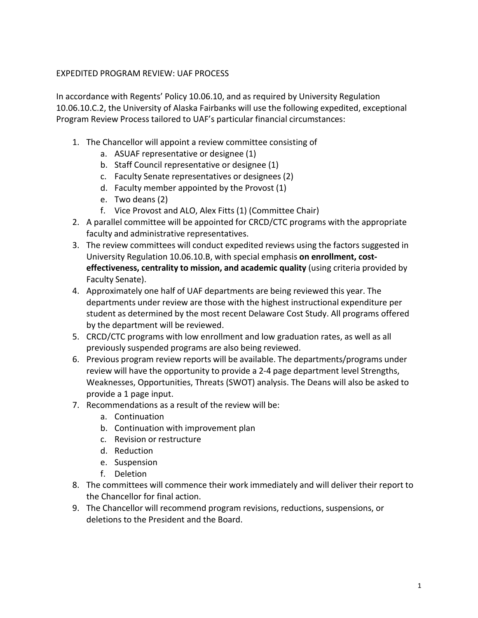## EXPEDITED PROGRAM REVIEW: UAF PROCESS

In accordance with Regents' Policy 10.06.10, and as required by University Regulation 10.06.10.C.2, the University of Alaska Fairbanks will use the following expedited, exceptional Program Review Process tailored to UAF's particular financial circumstances:

- 1. The Chancellor will appoint a review committee consisting of
	- a. ASUAF representative or designee (1)
	- b. Staff Council representative or designee (1)
	- c. Faculty Senate representatives or designees (2)
	- d. Faculty member appointed by the Provost (1)
	- e. Two deans (2)
	- f. Vice Provost and ALO, Alex Fitts (1) (Committee Chair)
- 2. A parallel committee will be appointed for CRCD/CTC programs with the appropriate faculty and administrative representatives.
- 3. The review committees will conduct expedited reviews using the factors suggested in University Regulation 10.06.10.B, with special emphasis **on enrollment, costeffectiveness, centrality to mission, and academic quality** (using criteria provided by Faculty Senate).
- 4. Approximately one half of UAF departments are being reviewed this year. The departments under review are those with the highest instructional expenditure per student as determined by the most recent Delaware Cost Study. All programs offered by the department will be reviewed.
- 5. CRCD/CTC programs with low enrollment and low graduation rates, as well as all previously suspended programs are also being reviewed.
- 6. Previous program review reports will be available. The departments/programs under review will have the opportunity to provide a 2-4 page department level Strengths, Weaknesses, Opportunities, Threats (SWOT) analysis. The Deans will also be asked to provide a 1 page input.
- 7. Recommendations as a result of the review will be:
	- a. Continuation
	- b. Continuation with improvement plan
	- c. Revision or restructure
	- d. Reduction
	- e. Suspension
	- f. Deletion
- 8. The committees will commence their work immediately and will deliver their report to the Chancellor for final action.
- 9. The Chancellor will recommend program revisions, reductions, suspensions, or deletions to the President and the Board.